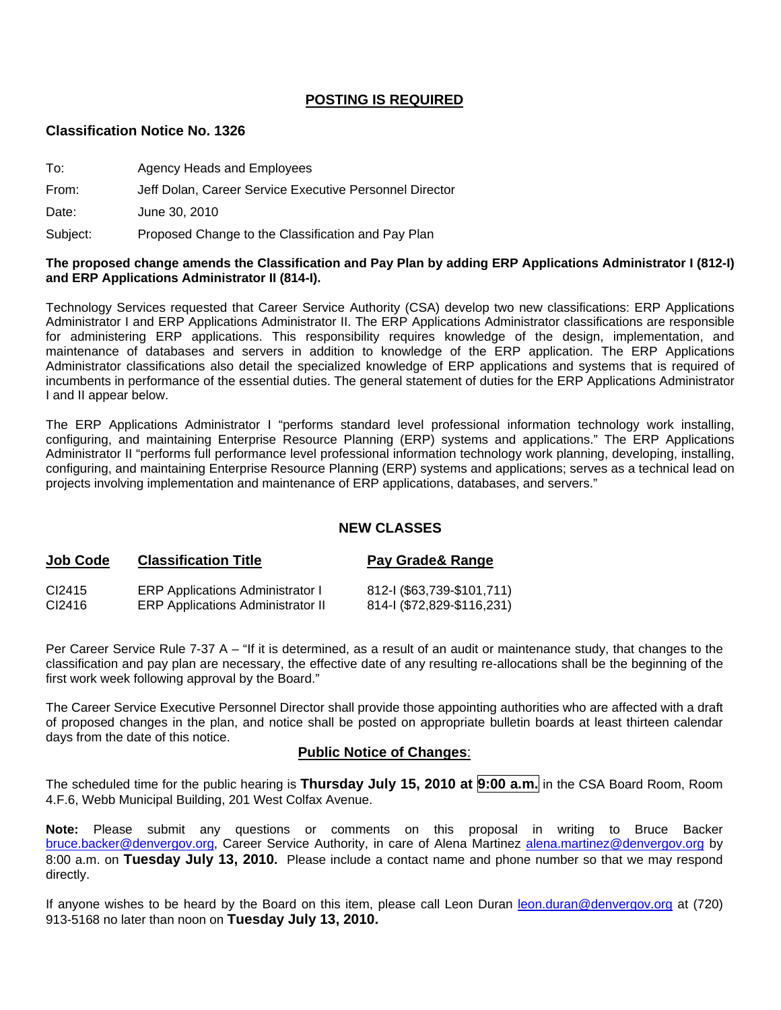### **POSTING IS REQUIRED**

#### **Classification Notice No. 1326**

| To:      | Agency Heads and Employees                              |
|----------|---------------------------------------------------------|
| From:    | Jeff Dolan, Career Service Executive Personnel Director |
| Date:    | June 30, 2010                                           |
| Subject: | Proposed Change to the Classification and Pay Plan      |

#### **The proposed change amends the Classification and Pay Plan by adding ERP Applications Administrator I (812-I) and ERP Applications Administrator II (814-I).**

Technology Services requested that Career Service Authority (CSA) develop two new classifications: ERP Applications Administrator I and ERP Applications Administrator II. The ERP Applications Administrator classifications are responsible for administering ERP applications. This responsibility requires knowledge of the design, implementation, and maintenance of databases and servers in addition to knowledge of the ERP application. The ERP Applications Administrator classifications also detail the specialized knowledge of ERP applications and systems that is required of incumbents in performance of the essential duties. The general statement of duties for the ERP Applications Administrator I and II appear below.

The ERP Applications Administrator I "performs standard level professional information technology work installing, configuring, and maintaining Enterprise Resource Planning (ERP) systems and applications." The ERP Applications Administrator II "performs full performance level professional information technology work planning, developing, installing, configuring, and maintaining Enterprise Resource Planning (ERP) systems and applications; serves as a technical lead on projects involving implementation and maintenance of ERP applications, databases, and servers."

### **NEW CLASSES**

# **Job Code Classification Title Pay Grade& Range**

| CI2415 | <b>ERP Applications Administrator I</b>  | 812-1 (\$63,739-\$101,711) |
|--------|------------------------------------------|----------------------------|
| CI2416 | <b>ERP Applications Administrator II</b> | 814-1 (\$72,829-\$116,231) |

Per Career Service Rule 7-37 A – "If it is determined, as a result of an audit or maintenance study, that changes to the classification and pay plan are necessary, the effective date of any resulting re-allocations shall be the beginning of the first work week following approval by the Board."

The Career Service Executive Personnel Director shall provide those appointing authorities who are affected with a draft of proposed changes in the plan, and notice shall be posted on appropriate bulletin boards at least thirteen calendar days from the date of this notice.

### **Public Notice of Changes**:

The scheduled time for the public hearing is **Thursday July 15, 2010 at 9:00 a.m.** in the CSA Board Room, Room 4.F.6, Webb Municipal Building, 201 West Colfax Avenue.

**Note:** Please submit any questions or comments on this proposal in writing to Bruce Backer [bruce.backer@denvergov.org,](mailto:bruce.backer@denvergov.org) Career Service Authority, in care of Alena Martinez [alena.martinez@denvergov.org](mailto:alena.martinez@denvergov.org) by 8:00 a.m. on **Tuesday July 13, 2010.** Please include a contact name and phone number so that we may respond directly.

If anyone wishes to be heard by the Board on this item, please call Leon Duran [leon.duran@denvergov.org](mailto:leon.duran@denvergov.org) at (720) 913-5168 no later than noon on **Tuesday July 13, 2010.**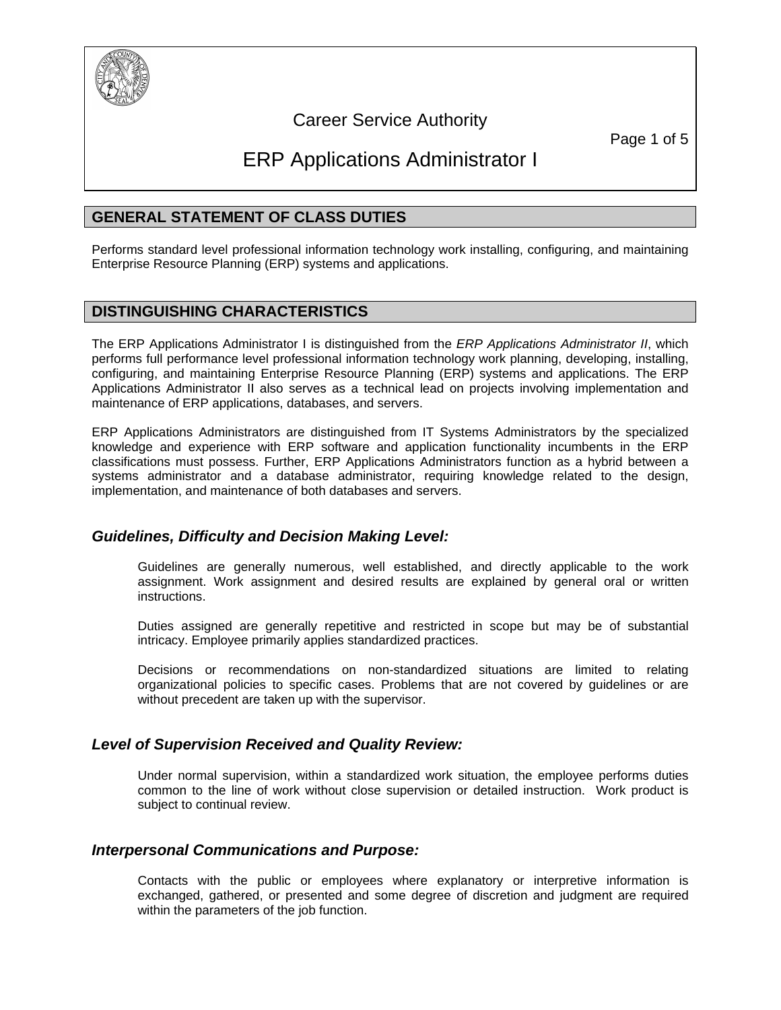

# Career Service Authority

# ERP Applications Administrator I

# **GENERAL STATEMENT OF CLASS DUTIES**

Performs standard level professional information technology work installing, configuring, and maintaining Enterprise Resource Planning (ERP) systems and applications.

# **DISTINGUISHING CHARACTERISTICS**

The ERP Applications Administrator I is distinguished from the *ERP Applications Administrator II*, which performs full performance level professional information technology work planning, developing, installing, configuring, and maintaining Enterprise Resource Planning (ERP) systems and applications. The ERP Applications Administrator II also serves as a technical lead on projects involving implementation and maintenance of ERP applications, databases, and servers.

ERP Applications Administrators are distinguished from IT Systems Administrators by the specialized knowledge and experience with ERP software and application functionality incumbents in the ERP classifications must possess. Further, ERP Applications Administrators function as a hybrid between a systems administrator and a database administrator, requiring knowledge related to the design, implementation, and maintenance of both databases and servers.

## *Guidelines, Difficulty and Decision Making Level:*

Guidelines are generally numerous, well established, and directly applicable to the work assignment. Work assignment and desired results are explained by general oral or written instructions.

Duties assigned are generally repetitive and restricted in scope but may be of substantial intricacy. Employee primarily applies standardized practices.

Decisions or recommendations on non-standardized situations are limited to relating organizational policies to specific cases. Problems that are not covered by guidelines or are without precedent are taken up with the supervisor.

## *Level of Supervision Received and Quality Review:*

Under normal supervision, within a standardized work situation, the employee performs duties common to the line of work without close supervision or detailed instruction. Work product is subject to continual review.

## *Interpersonal Communications and Purpose:*

Contacts with the public or employees where explanatory or interpretive information is exchanged, gathered, or presented and some degree of discretion and judgment are required within the parameters of the job function.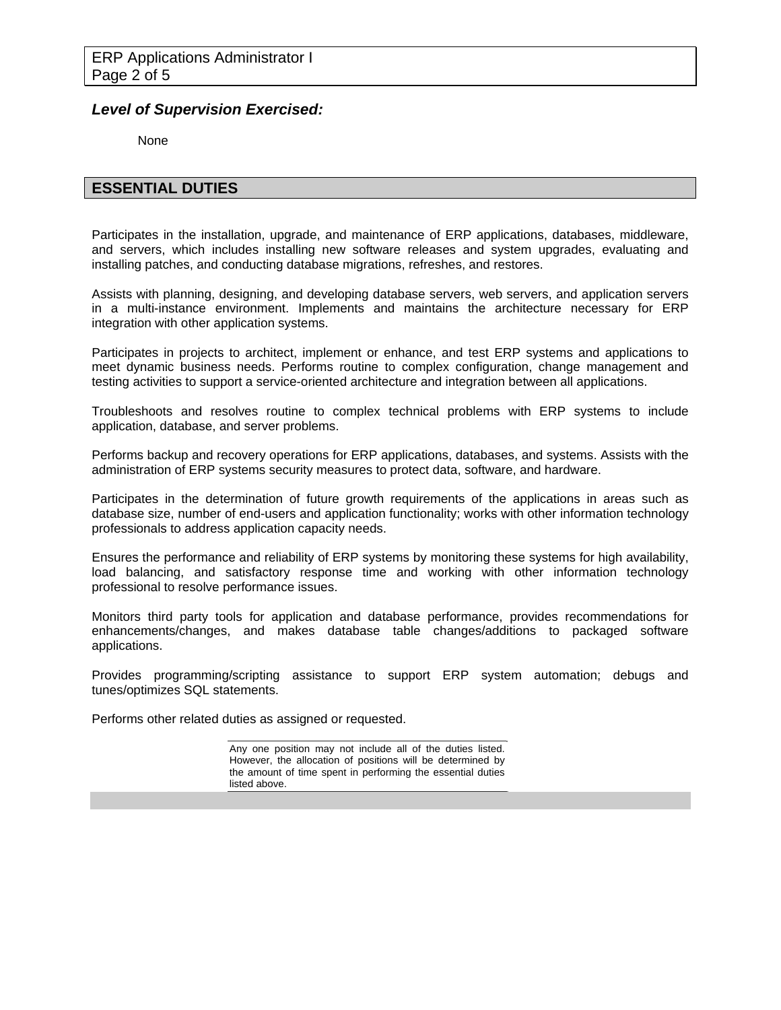### *Level of Supervision Exercised:*

None

### **ESSENTIAL DUTIES**

Participates in the installation, upgrade, and maintenance of ERP applications, databases, middleware, and servers, which includes installing new software releases and system upgrades, evaluating and installing patches, and conducting database migrations, refreshes, and restores.

Assists with planning, designing, and developing database servers, web servers, and application servers in a multi-instance environment. Implements and maintains the architecture necessary for ERP integration with other application systems.

Participates in projects to architect, implement or enhance, and test ERP systems and applications to meet dynamic business needs. Performs routine to complex configuration, change management and testing activities to support a service-oriented architecture and integration between all applications.

Troubleshoots and resolves routine to complex technical problems with ERP systems to include application, database, and server problems.

Performs backup and recovery operations for ERP applications, databases, and systems. Assists with the administration of ERP systems security measures to protect data, software, and hardware.

Participates in the determination of future growth requirements of the applications in areas such as database size, number of end-users and application functionality; works with other information technology professionals to address application capacity needs.

Ensures the performance and reliability of ERP systems by monitoring these systems for high availability, load balancing, and satisfactory response time and working with other information technology professional to resolve performance issues.

Monitors third party tools for application and database performance, provides recommendations for enhancements/changes, and makes database table changes/additions to packaged software applications.

Provides programming/scripting assistance to support ERP system automation; debugs and tunes/optimizes SQL statements.

Performs other related duties as assigned or requested.

Any one position may not include all of the duties listed. However, the allocation of positions will be determined by the amount of time spent in performing the essential duties listed above.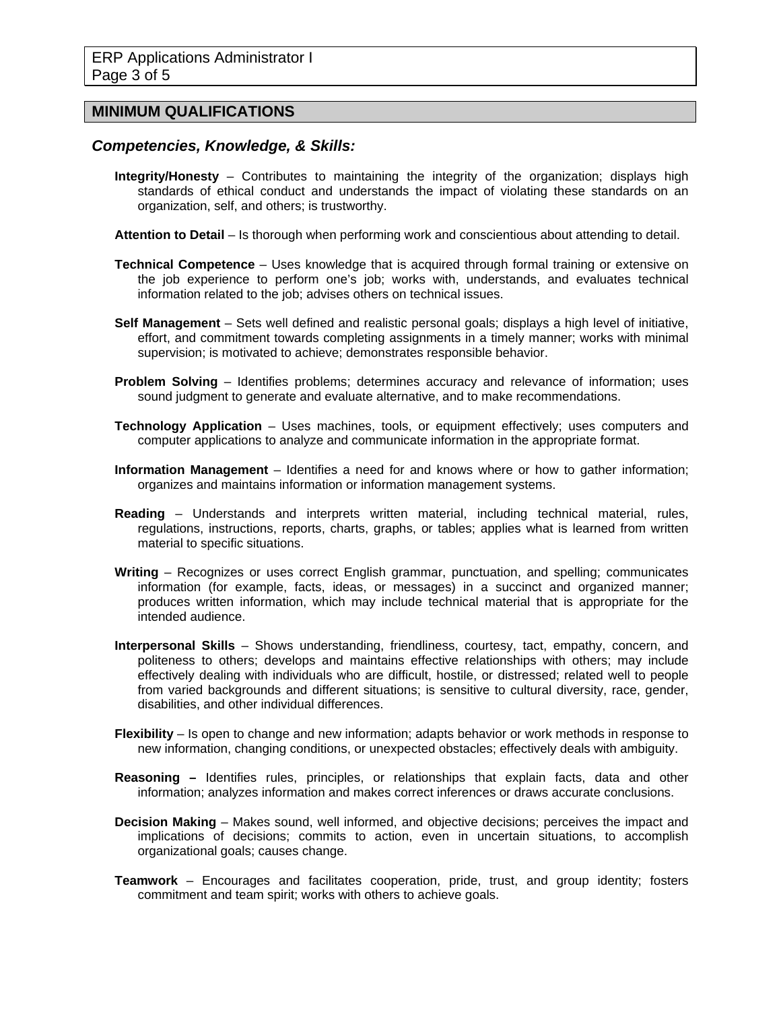### **MINIMUM QUALIFICATIONS**

# *Competencies, Knowledge, & Skills:*

- **Integrity/Honesty** Contributes to maintaining the integrity of the organization; displays high standards of ethical conduct and understands the impact of violating these standards on an organization, self, and others; is trustworthy.
- **Attention to Detail** Is thorough when performing work and conscientious about attending to detail.
- **Technical Competence** Uses knowledge that is acquired through formal training or extensive on the job experience to perform one's job; works with, understands, and evaluates technical information related to the job; advises others on technical issues.
- **Self Management** Sets well defined and realistic personal goals; displays a high level of initiative, effort, and commitment towards completing assignments in a timely manner; works with minimal supervision; is motivated to achieve; demonstrates responsible behavior.
- **Problem Solving** Identifies problems; determines accuracy and relevance of information; uses sound judgment to generate and evaluate alternative, and to make recommendations.
- **Technology Application** Uses machines, tools, or equipment effectively; uses computers and computer applications to analyze and communicate information in the appropriate format.
- **Information Management** Identifies a need for and knows where or how to gather information; organizes and maintains information or information management systems.
- **Reading** Understands and interprets written material, including technical material, rules, regulations, instructions, reports, charts, graphs, or tables; applies what is learned from written material to specific situations.
- **Writing** Recognizes or uses correct English grammar, punctuation, and spelling; communicates information (for example, facts, ideas, or messages) in a succinct and organized manner; produces written information, which may include technical material that is appropriate for the intended audience.
- **Interpersonal Skills** Shows understanding, friendliness, courtesy, tact, empathy, concern, and politeness to others; develops and maintains effective relationships with others; may include effectively dealing with individuals who are difficult, hostile, or distressed; related well to people from varied backgrounds and different situations; is sensitive to cultural diversity, race, gender, disabilities, and other individual differences.
- **Flexibility**  Is open to change and new information; adapts behavior or work methods in response to new information, changing conditions, or unexpected obstacles; effectively deals with ambiguity.
- **Reasoning** Identifies rules, principles, or relationships that explain facts, data and other information; analyzes information and makes correct inferences or draws accurate conclusions.
- **Decision Making** Makes sound, well informed, and objective decisions; perceives the impact and implications of decisions; commits to action, even in uncertain situations, to accomplish organizational goals; causes change.
- **Teamwork** Encourages and facilitates cooperation, pride, trust, and group identity; fosters commitment and team spirit; works with others to achieve goals.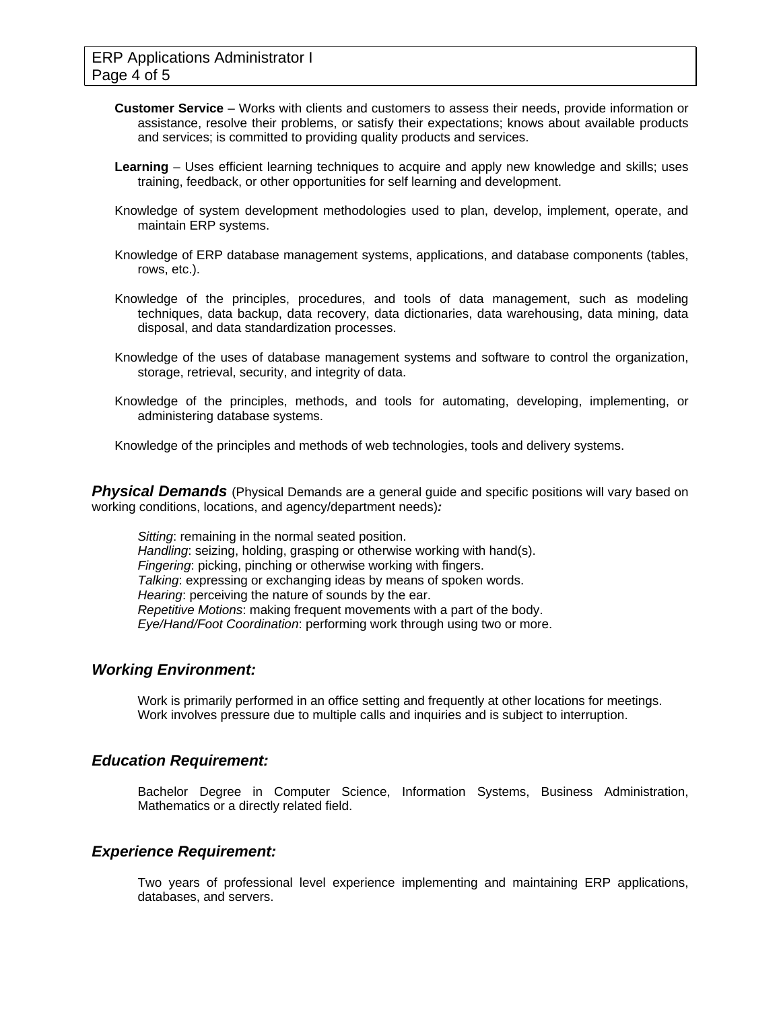- **Customer Service** Works with clients and customers to assess their needs, provide information or assistance, resolve their problems, or satisfy their expectations; knows about available products and services; is committed to providing quality products and services.
- **Learning** Uses efficient learning techniques to acquire and apply new knowledge and skills; uses training, feedback, or other opportunities for self learning and development.
- Knowledge of system development methodologies used to plan, develop, implement, operate, and maintain ERP systems.
- Knowledge of ERP database management systems, applications, and database components (tables, rows, etc.).
- Knowledge of the principles, procedures, and tools of data management, such as modeling techniques, data backup, data recovery, data dictionaries, data warehousing, data mining, data disposal, and data standardization processes.
- Knowledge of the uses of database management systems and software to control the organization, storage, retrieval, security, and integrity of data.
- Knowledge of the principles, methods, and tools for automating, developing, implementing, or administering database systems.

Knowledge of the principles and methods of web technologies, tools and delivery systems.

**Physical Demands** (Physical Demands are a general guide and specific positions will vary based on working conditions, locations, and agency/department needs)*:* 

*Sitting*: remaining in the normal seated position. *Handling*: seizing, holding, grasping or otherwise working with hand(s). *Fingering*: picking, pinching or otherwise working with fingers. *Talking*: expressing or exchanging ideas by means of spoken words. *Hearing*: perceiving the nature of sounds by the ear. *Repetitive Motions*: making frequent movements with a part of the body. *Eye/Hand/Foot Coordination*: performing work through using two or more.

### *Working Environment:*

Work is primarily performed in an office setting and frequently at other locations for meetings. Work involves pressure due to multiple calls and inquiries and is subject to interruption.

### *Education Requirement:*

Bachelor Degree in Computer Science, Information Systems, Business Administration, Mathematics or a directly related field.

### *Experience Requirement:*

Two years of professional level experience implementing and maintaining ERP applications, databases, and servers.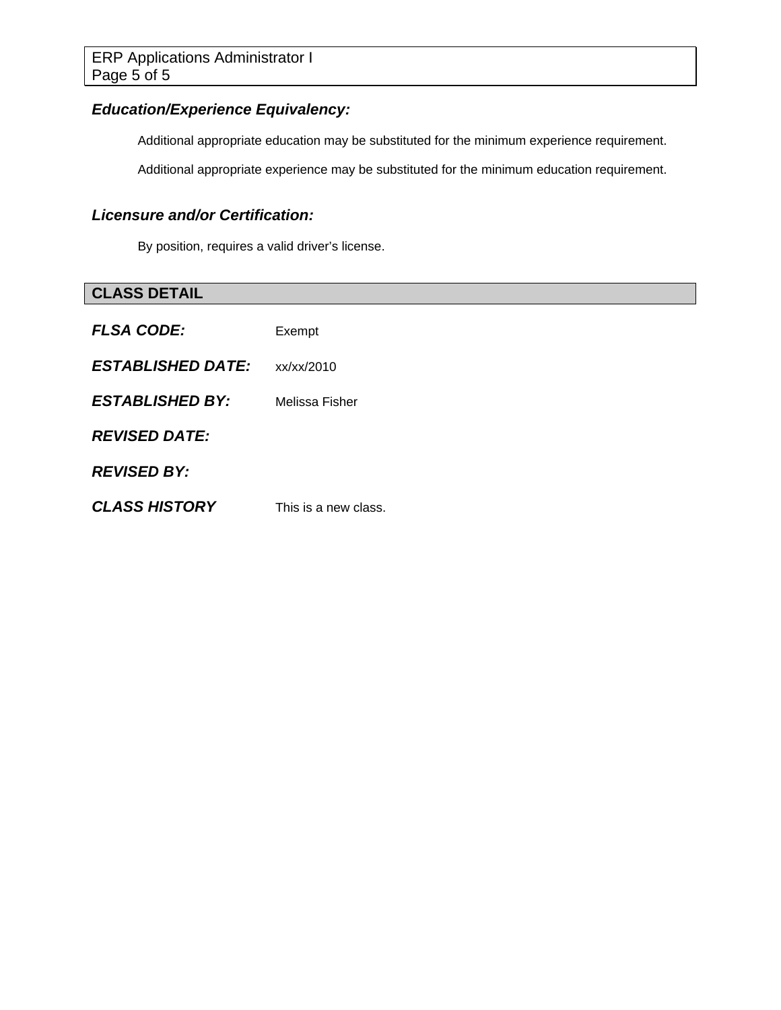# *Education/Experience Equivalency:*

Additional appropriate education may be substituted for the minimum experience requirement.

Additional appropriate experience may be substituted for the minimum education requirement.

# *Licensure and/or Certification:*

By position, requires a valid driver's license.

| <b>CLASS DETAIL</b>      |                      |
|--------------------------|----------------------|
| <b>FLSA CODE:</b>        | Exempt               |
| <b>ESTABLISHED DATE:</b> | xx/xx/2010           |
| <b>ESTABLISHED BY:</b>   | Melissa Fisher       |
| <b>REVISED DATE:</b>     |                      |
| <b>REVISED BY:</b>       |                      |
| <b>CLASS HISTORY</b>     | This is a new class. |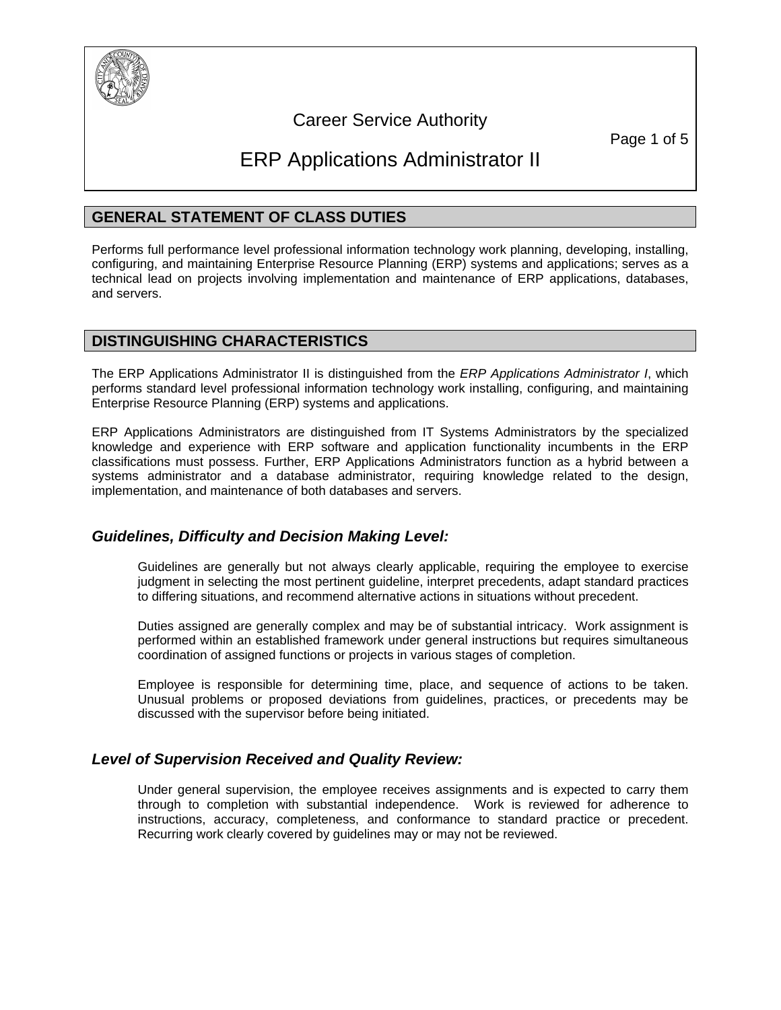

# Career Service Authority

Page 1 of 5

# ERP Applications Administrator II

# **GENERAL STATEMENT OF CLASS DUTIES**

Performs full performance level professional information technology work planning, developing, installing, configuring, and maintaining Enterprise Resource Planning (ERP) systems and applications; serves as a technical lead on projects involving implementation and maintenance of ERP applications, databases, and servers.

### **DISTINGUISHING CHARACTERISTICS**

The ERP Applications Administrator II is distinguished from the *ERP Applications Administrator I*, which performs standard level professional information technology work installing, configuring, and maintaining Enterprise Resource Planning (ERP) systems and applications.

ERP Applications Administrators are distinguished from IT Systems Administrators by the specialized knowledge and experience with ERP software and application functionality incumbents in the ERP classifications must possess. Further, ERP Applications Administrators function as a hybrid between a systems administrator and a database administrator, requiring knowledge related to the design, implementation, and maintenance of both databases and servers.

## *Guidelines, Difficulty and Decision Making Level:*

Guidelines are generally but not always clearly applicable, requiring the employee to exercise judgment in selecting the most pertinent guideline, interpret precedents, adapt standard practices to differing situations, and recommend alternative actions in situations without precedent.

Duties assigned are generally complex and may be of substantial intricacy. Work assignment is performed within an established framework under general instructions but requires simultaneous coordination of assigned functions or projects in various stages of completion.

Employee is responsible for determining time, place, and sequence of actions to be taken. Unusual problems or proposed deviations from guidelines, practices, or precedents may be discussed with the supervisor before being initiated.

## *Level of Supervision Received and Quality Review:*

Under general supervision, the employee receives assignments and is expected to carry them through to completion with substantial independence. Work is reviewed for adherence to instructions, accuracy, completeness, and conformance to standard practice or precedent. Recurring work clearly covered by guidelines may or may not be reviewed.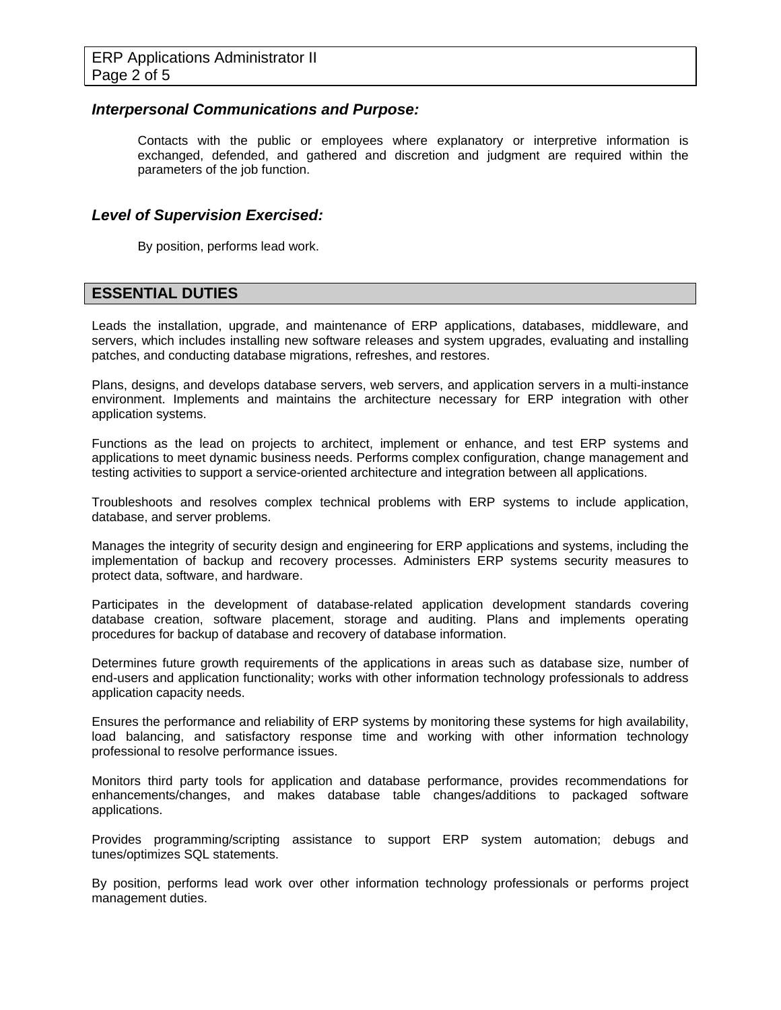#### *Interpersonal Communications and Purpose:*

Contacts with the public or employees where explanatory or interpretive information is exchanged, defended, and gathered and discretion and judgment are required within the parameters of the job function.

### *Level of Supervision Exercised:*

By position, performs lead work.

### **ESSENTIAL DUTIES**

Leads the installation, upgrade, and maintenance of ERP applications, databases, middleware, and servers, which includes installing new software releases and system upgrades, evaluating and installing patches, and conducting database migrations, refreshes, and restores.

Plans, designs, and develops database servers, web servers, and application servers in a multi-instance environment. Implements and maintains the architecture necessary for ERP integration with other application systems.

Functions as the lead on projects to architect, implement or enhance, and test ERP systems and applications to meet dynamic business needs. Performs complex configuration, change management and testing activities to support a service-oriented architecture and integration between all applications.

Troubleshoots and resolves complex technical problems with ERP systems to include application, database, and server problems.

Manages the integrity of security design and engineering for ERP applications and systems, including the implementation of backup and recovery processes. Administers ERP systems security measures to protect data, software, and hardware.

Participates in the development of database-related application development standards covering database creation, software placement, storage and auditing. Plans and implements operating procedures for backup of database and recovery of database information.

Determines future growth requirements of the applications in areas such as database size, number of end-users and application functionality; works with other information technology professionals to address application capacity needs.

Ensures the performance and reliability of ERP systems by monitoring these systems for high availability, load balancing, and satisfactory response time and working with other information technology professional to resolve performance issues.

Monitors third party tools for application and database performance, provides recommendations for enhancements/changes, and makes database table changes/additions to packaged software applications.

Provides programming/scripting assistance to support ERP system automation; debugs and tunes/optimizes SQL statements.

By position, performs lead work over other information technology professionals or performs project management duties.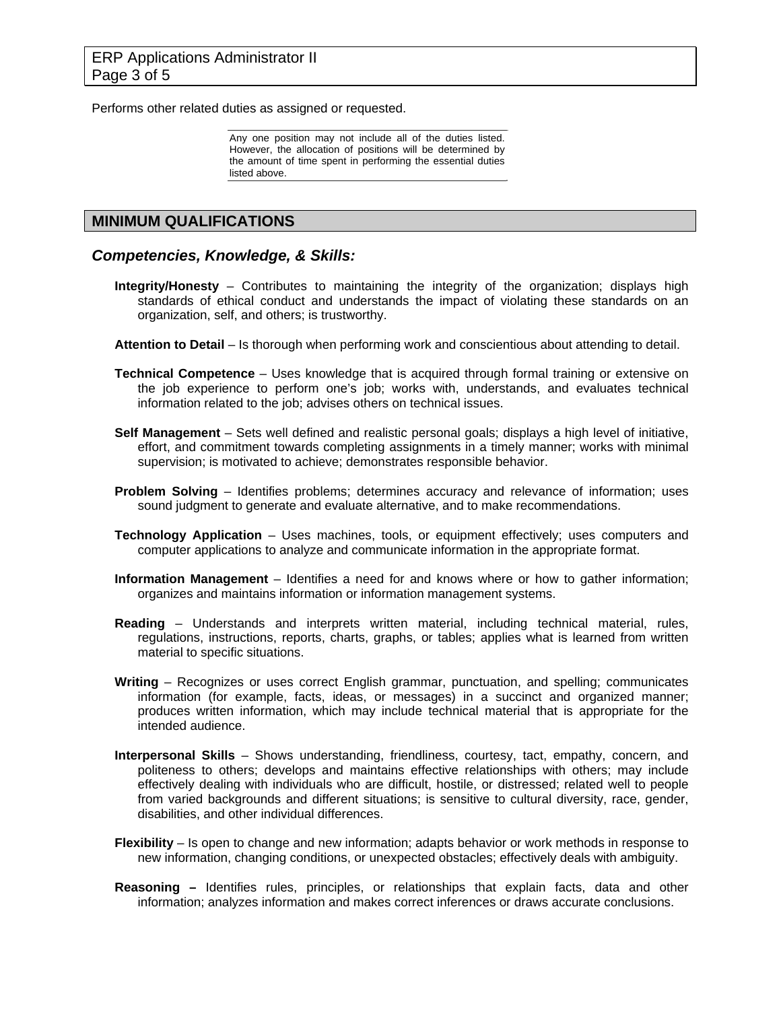Performs other related duties as assigned or requested.

Any one position may not include all of the duties listed. However, the allocation of positions will be determined by the amount of time spent in performing the essential duties listed above.

### **MINIMUM QUALIFICATIONS**

#### *Competencies, Knowledge, & Skills:*

- **Integrity/Honesty** Contributes to maintaining the integrity of the organization; displays high standards of ethical conduct and understands the impact of violating these standards on an organization, self, and others; is trustworthy.
- **Attention to Detail** Is thorough when performing work and conscientious about attending to detail.
- **Technical Competence** Uses knowledge that is acquired through formal training or extensive on the job experience to perform one's job; works with, understands, and evaluates technical information related to the job; advises others on technical issues.
- **Self Management** Sets well defined and realistic personal goals; displays a high level of initiative, effort, and commitment towards completing assignments in a timely manner; works with minimal supervision; is motivated to achieve; demonstrates responsible behavior.
- **Problem Solving** Identifies problems; determines accuracy and relevance of information; uses sound judgment to generate and evaluate alternative, and to make recommendations.
- **Technology Application** Uses machines, tools, or equipment effectively; uses computers and computer applications to analyze and communicate information in the appropriate format.
- **Information Management** Identifies a need for and knows where or how to gather information; organizes and maintains information or information management systems.
- **Reading** Understands and interprets written material, including technical material, rules, regulations, instructions, reports, charts, graphs, or tables; applies what is learned from written material to specific situations.
- **Writing** Recognizes or uses correct English grammar, punctuation, and spelling; communicates information (for example, facts, ideas, or messages) in a succinct and organized manner; produces written information, which may include technical material that is appropriate for the intended audience.
- **Interpersonal Skills** Shows understanding, friendliness, courtesy, tact, empathy, concern, and politeness to others; develops and maintains effective relationships with others; may include effectively dealing with individuals who are difficult, hostile, or distressed; related well to people from varied backgrounds and different situations; is sensitive to cultural diversity, race, gender, disabilities, and other individual differences.
- **Flexibility**  Is open to change and new information; adapts behavior or work methods in response to new information, changing conditions, or unexpected obstacles; effectively deals with ambiguity.
- **Reasoning** Identifies rules, principles, or relationships that explain facts, data and other information; analyzes information and makes correct inferences or draws accurate conclusions.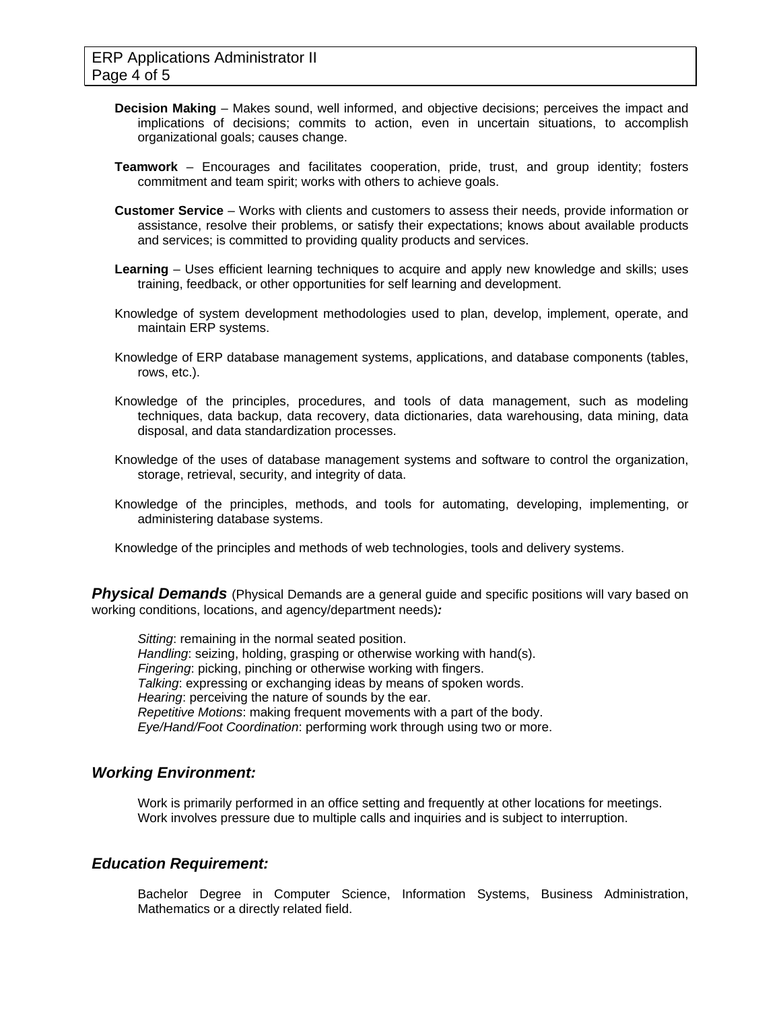- **Decision Making** Makes sound, well informed, and objective decisions; perceives the impact and implications of decisions; commits to action, even in uncertain situations, to accomplish organizational goals; causes change.
- **Teamwork** Encourages and facilitates cooperation, pride, trust, and group identity; fosters commitment and team spirit; works with others to achieve goals.
- **Customer Service** Works with clients and customers to assess their needs, provide information or assistance, resolve their problems, or satisfy their expectations; knows about available products and services; is committed to providing quality products and services.
- **Learning** Uses efficient learning techniques to acquire and apply new knowledge and skills; uses training, feedback, or other opportunities for self learning and development.
- Knowledge of system development methodologies used to plan, develop, implement, operate, and maintain ERP systems.
- Knowledge of ERP database management systems, applications, and database components (tables, rows, etc.).
- Knowledge of the principles, procedures, and tools of data management, such as modeling techniques, data backup, data recovery, data dictionaries, data warehousing, data mining, data disposal, and data standardization processes.
- Knowledge of the uses of database management systems and software to control the organization, storage, retrieval, security, and integrity of data.
- Knowledge of the principles, methods, and tools for automating, developing, implementing, or administering database systems.
- Knowledge of the principles and methods of web technologies, tools and delivery systems.

**Physical Demands** (Physical Demands are a general guide and specific positions will vary based on working conditions, locations, and agency/department needs)*:* 

*Sitting*: remaining in the normal seated position. *Handling*: seizing, holding, grasping or otherwise working with hand(s). *Fingering*: picking, pinching or otherwise working with fingers. *Talking*: expressing or exchanging ideas by means of spoken words. *Hearing*: perceiving the nature of sounds by the ear. *Repetitive Motions*: making frequent movements with a part of the body. *Eye/Hand/Foot Coordination*: performing work through using two or more.

### *Working Environment:*

Work is primarily performed in an office setting and frequently at other locations for meetings. Work involves pressure due to multiple calls and inquiries and is subject to interruption.

### *Education Requirement:*

Bachelor Degree in Computer Science, Information Systems, Business Administration, Mathematics or a directly related field.